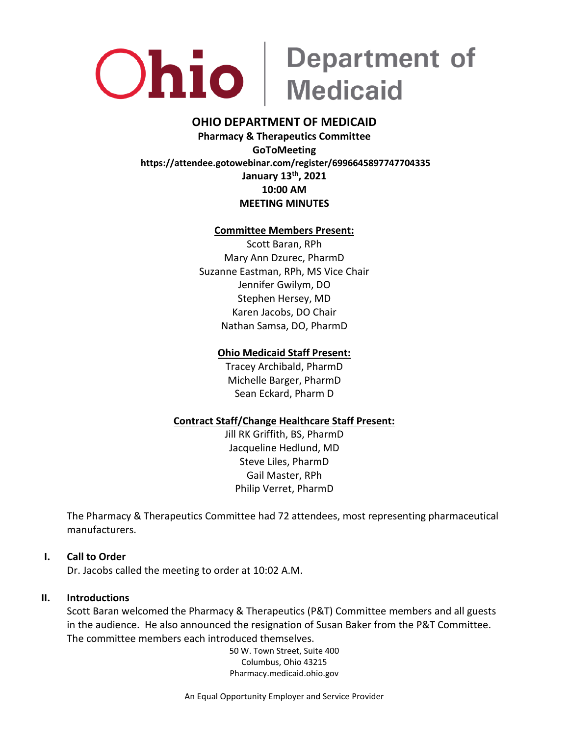

### **OHIO DEPARTMENT OF MEDICAID**

**Pharmacy & Therapeutics Committee GoToMeeting https://attendee.gotowebinar.com/register/6996645897747704335 January 13 th, 2021 10:00 AM MEETING MINUTES**

### **Committee Members Present:**

Scott Baran, RPh Mary Ann Dzurec, PharmD Suzanne Eastman, RPh, MS Vice Chair Jennifer Gwilym, DO Stephen Hersey, MD Karen Jacobs, DO Chair Nathan Samsa, DO, PharmD

### **Ohio Medicaid Staff Present:**

Tracey Archibald, PharmD Michelle Barger, PharmD Sean Eckard, Pharm D

### **Contract Staff/Change Healthcare Staff Present:**

Jill RK Griffith, BS, PharmD Jacqueline Hedlund, MD Steve Liles, PharmD Gail Master, RPh Philip Verret, PharmD

The Pharmacy & Therapeutics Committee had 72 attendees, most representing pharmaceutical manufacturers.

### **I. Call to Order**

Dr. Jacobs called the meeting to order at 10:02 A.M.

### **II. Introductions**

Scott Baran welcomed the Pharmacy & Therapeutics (P&T) Committee members and all guests in the audience. He also announced the resignation of Susan Baker from the P&T Committee. The committee members each introduced themselves.

> 50 W. Town Street, Suite 400 Columbus, Ohio 43215 Pharmacy.medicaid.ohio.gov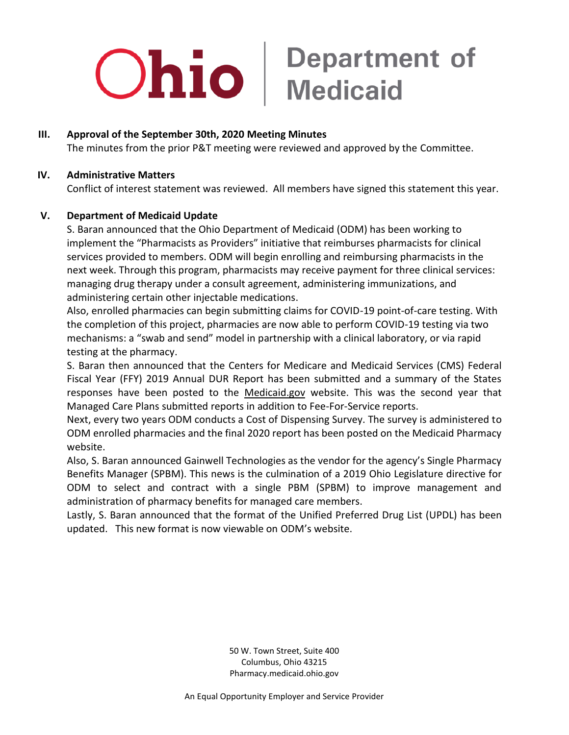### **III. Approval of the September 30th, 2020 Meeting Minutes**

The minutes from the prior P&T meeting were reviewed and approved by the Committee.

### **IV. Administrative Matters**

Conflict of interest statement was reviewed. All members have signed this statement this year.

### **V. Department of Medicaid Update**

S. Baran announced that the Ohio Department of Medicaid (ODM) has been working to implement the "Pharmacists as Providers" initiative that reimburses pharmacists for clinical services provided to members. ODM will begin enrolling and reimbursing pharmacists in the next week. Through this program, pharmacists may receive payment for three clinical services: managing drug therapy under a consult agreement, administering immunizations, and administering certain other injectable medications.

Also, enrolled pharmacies can begin submitting claims for COVID-19 point-of-care testing. With the completion of this project, pharmacies are now able to perform COVID-19 testing via two mechanisms: a "swab and send" model in partnership with a clinical laboratory, or via rapid testing at the pharmacy.

S. Baran then announced that the Centers for Medicare and Medicaid Services (CMS) Federal Fiscal Year (FFY) 2019 Annual DUR Report has been submitted and a summary of the States responses have been posted to the Medicaid.gov website. This was the second year that Managed Care Plans submitted reports in addition to Fee-For-Service reports.

Next, every two years ODM conducts a Cost of Dispensing Survey. The survey is administered to ODM enrolled pharmacies and the final 2020 report has been posted on the Medicaid Pharmacy website.

Also, S. Baran announced Gainwell Technologies as the vendor for the agency's Single Pharmacy Benefits Manager (SPBM). This news is the culmination of a 2019 Ohio Legislature directive for ODM to select and contract with a single PBM (SPBM) to improve management and administration of pharmacy benefits for managed care members.

Lastly, S. Baran announced that the format of the Unified Preferred Drug List (UPDL) has been updated. This new format is now viewable on ODM's website.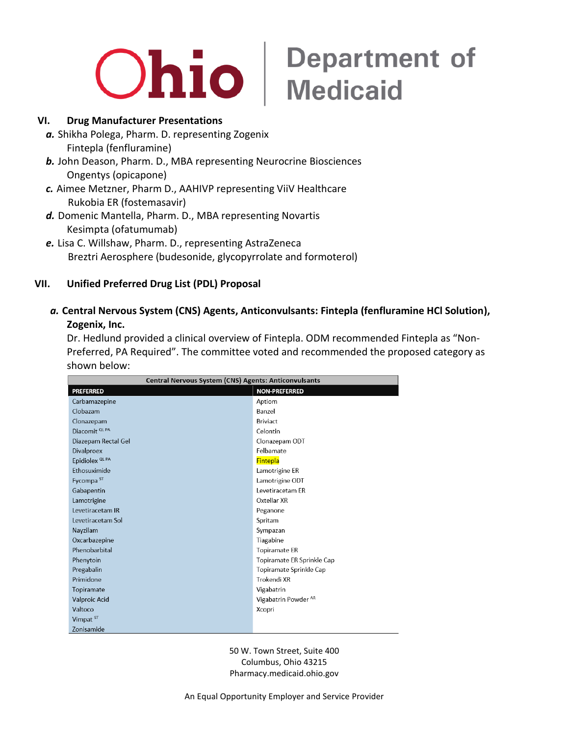

### **Ohio** Medicaid

### **VI. Drug Manufacturer Presentations**

- *a.* Shikha Polega, Pharm. D. representing Zogenix Fintepla (fenfluramine)
- *b.* John Deason, Pharm. D., MBA representing Neurocrine Biosciences Ongentys (opicapone)
- *c.* Aimee Metzner, Pharm D., AAHIVP representing ViiV Healthcare Rukobia ER (fostemasavir)
- *d.* Domenic Mantella, Pharm. D., MBA representing Novartis Kesimpta (ofatumumab)
- *e.* Lisa C. Willshaw, Pharm. D., representing AstraZeneca Breztri Aerosphere (budesonide, glycopyrrolate and formoterol)

### **VII. Unified Preferred Drug List (PDL) Proposal**

*a.* **Central Nervous System (CNS) Agents, Anticonvulsants: Fintepla (fenfluramine HCl Solution), Zogenix, Inc.** 

Dr. Hedlund provided a clinical overview of Fintepla. ODM recommended Fintepla as "Non-Preferred, PA Required". The committee voted and recommended the proposed category as shown below:

| <b>Central Nervous System (CNS) Agents: Anticonvulsants</b> |                                 |  |
|-------------------------------------------------------------|---------------------------------|--|
| <b>PREFERRED</b>                                            | <b>NON-PREFERRED</b>            |  |
| Carbamazepine                                               | Aptiom                          |  |
| Clobazam                                                    | Banzel                          |  |
| Clonazepam                                                  | <b>Briviact</b>                 |  |
| Diacomit <sup>QLPA</sup>                                    | Celontin                        |  |
| Diazepam Rectal Gel                                         | Clonazepam ODT                  |  |
| <b>Divalproex</b>                                           | Felbamate                       |  |
| Epidiolex <sup>QLPA</sup>                                   | <b>Fintepla</b>                 |  |
| Ethosuximide                                                | Lamotrigine ER                  |  |
| Fycompa <sup>ST</sup>                                       | Lamotrigine ODT                 |  |
| Gabapentin                                                  | Levetiracetam ER                |  |
| Lamotrigine                                                 | Oxtellar XR                     |  |
| Levetiracetam IR                                            | Peganone                        |  |
| Levetiracetam Sol                                           | Spritam                         |  |
| Nayzilam                                                    | Sympazan                        |  |
| Oxcarbazepine                                               | Tiagabine                       |  |
| Phenobarbital                                               | <b>Topiramate ER</b>            |  |
| Phenytoin                                                   | Topiramate ER Sprinkle Cap      |  |
| Pregabalin                                                  | Topiramate Sprinkle Cap         |  |
| Primidone                                                   | Trokendi XR                     |  |
| Topiramate                                                  | Vigabatrin                      |  |
| Valproic Acid                                               | Vigabatrin Powder <sup>AR</sup> |  |
| Valtoco                                                     | Xcopri                          |  |
| Vimpat <sup>ST</sup>                                        |                                 |  |
| Zonisamide                                                  |                                 |  |

50 W. Town Street, Suite 400 Columbus, Ohio 43215 Pharmacy.medicaid.ohio.gov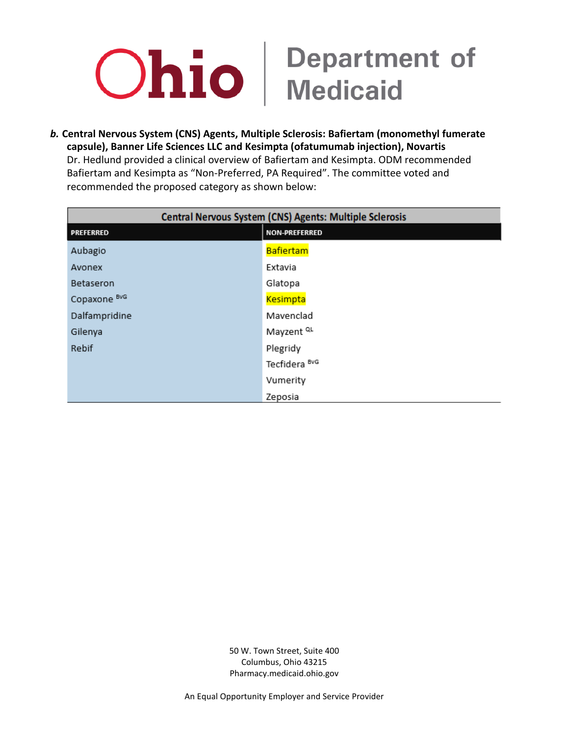*b.* **Central Nervous System (CNS) Agents, Multiple Sclerosis: Bafiertam (monomethyl fumerate capsule), Banner Life Sciences LLC and Kesimpta (ofatumumab injection), Novartis** Dr. Hedlund provided a clinical overview of Bafiertam and Kesimpta. ODM recommended Bafiertam and Kesimpta as "Non-Preferred, PA Required". The committee voted and recommended the proposed category as shown below:

| Central Nervous System (CNS) Agents: Multiple Sclerosis |                          |
|---------------------------------------------------------|--------------------------|
| <b>PREFERRED</b>                                        | <b>NON-PREFERRED</b>     |
| Aubagio                                                 | Bafiertam                |
| Avonex                                                  | Extavia                  |
| Betaseron                                               | Glatopa                  |
| Copaxone BvG                                            | <b>Kesimpta</b>          |
| Dalfampridine                                           | Mavenclad                |
| Gilenya                                                 | Mayzent <sup>QL</sup>    |
| Rebif                                                   | Plegridy                 |
|                                                         | Tecfidera <sup>BvG</sup> |
|                                                         | Vumerity                 |
|                                                         | Zeposia                  |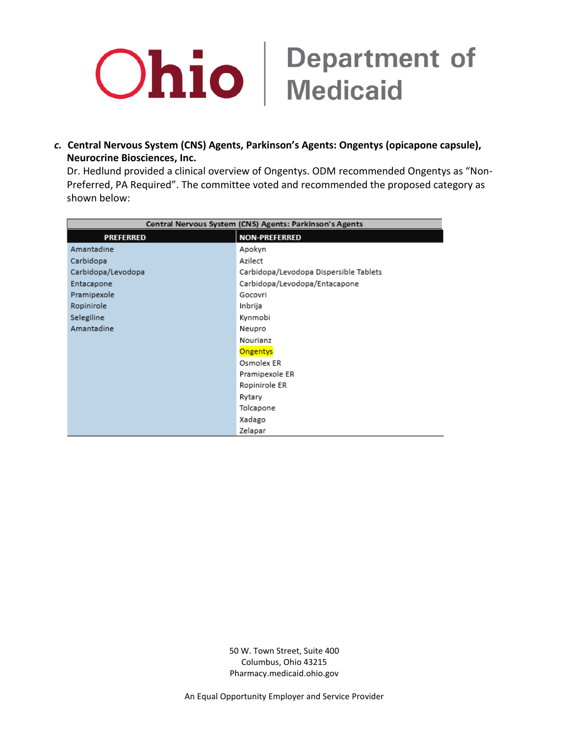

*c.* **Central Nervous System (CNS) Agents, Parkinson's Agents: Ongentys (opicapone capsule), Neurocrine Biosciences, Inc.**

Dr. Hedlund provided a clinical overview of Ongentys. ODM recommended Ongentys as "Non-Preferred, PA Required". The committee voted and recommended the proposed category as shown below:

| Central Nervous System (CNS) Agents: Parkinson's Agents |                                        |
|---------------------------------------------------------|----------------------------------------|
| <b>PREFERRED</b>                                        | <b>NON-PREFERRED</b>                   |
| Amantadine                                              | Apokyn                                 |
| Carbidopa                                               | Azilect                                |
| Carbidopa/Levodopa                                      | Carbidopa/Levodopa Dispersible Tablets |
| Entacapone                                              | Carbidopa/Levodopa/Entacapone          |
| Pramipexole                                             | Gocovri                                |
| Ropinirole                                              | Inbrija                                |
| Selegiline                                              | Kynmobi                                |
| Amantadine                                              | Neupro                                 |
|                                                         | Nourianz                               |
|                                                         | Ongentys                               |
|                                                         | Osmolex ER                             |
|                                                         | Pramipexole ER                         |
|                                                         | Ropinirole ER                          |
|                                                         | Rytary                                 |
|                                                         | Tolcapone                              |
|                                                         | Xadago                                 |
|                                                         | Zelapar                                |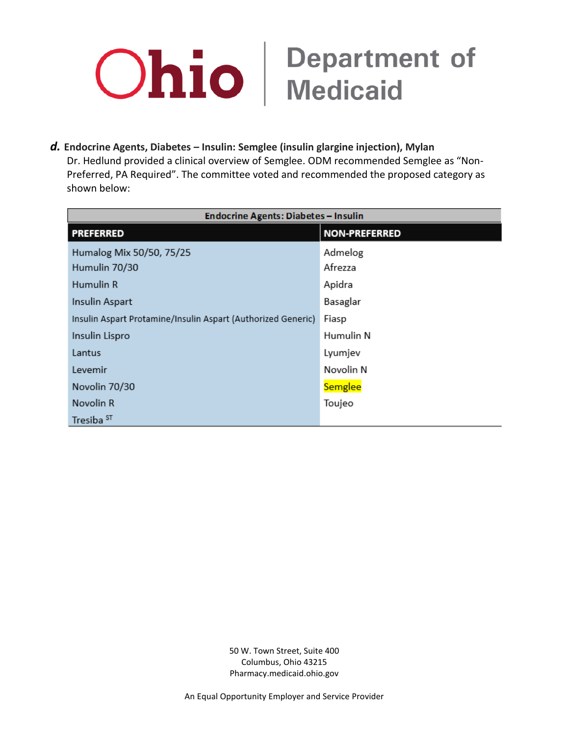

*d.* **Endocrine Agents, Diabetes – Insulin: Semglee (insulin glargine injection), Mylan** Dr. Hedlund provided a clinical overview of Semglee. ODM recommended Semglee as "Non-Preferred, PA Required". The committee voted and recommended the proposed category as shown below:

| <b>Endocrine Agents: Diabetes - Insulin</b>                  |                      |  |
|--------------------------------------------------------------|----------------------|--|
| <b>PREFERRED</b>                                             | <b>NON-PREFERRED</b> |  |
| Humalog Mix 50/50, 75/25                                     | Admelog              |  |
| Humulin 70/30                                                | Afrezza              |  |
| Humulin R                                                    | Apidra               |  |
| Insulin Aspart                                               | Basaglar             |  |
| Insulin Aspart Protamine/Insulin Aspart (Authorized Generic) | Fiasp                |  |
| Insulin Lispro                                               | Humulin N            |  |
| Lantus                                                       | Lyumjev              |  |
| Levemir                                                      | Novolin N            |  |
| Novolin 70/30                                                | Semglee              |  |
| Novolin R                                                    | Toujeo               |  |
| Tresiba <sup>ST</sup>                                        |                      |  |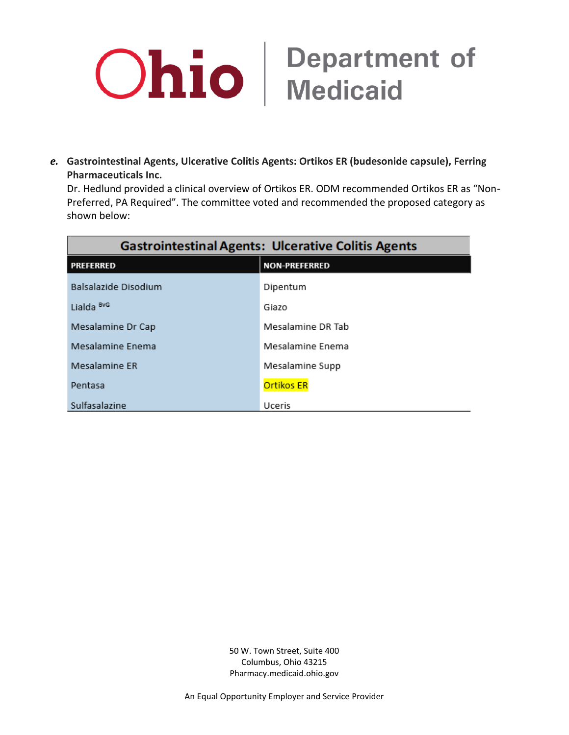

*e.* **Gastrointestinal Agents, Ulcerative Colitis Agents: Ortikos ER (budesonide capsule), Ferring Pharmaceuticals Inc.**

Dr. Hedlund provided a clinical overview of Ortikos ER. ODM recommended Ortikos ER as "Non-Preferred, PA Required". The committee voted and recommended the proposed category as shown below:

| <b>Gastrointestinal Agents: Ulcerative Colitis Agents</b> |                      |  |
|-----------------------------------------------------------|----------------------|--|
| <b>PREFERRED</b>                                          | <b>NON-PREFERRED</b> |  |
| Balsalazide Disodium                                      | Dipentum             |  |
| Lialda <sup>BvG</sup>                                     | Giazo                |  |
| Mesalamine Dr Cap                                         | Mesalamine DR Tab    |  |
| Mesalamine Enema                                          | Mesalamine Enema     |  |
| Mesalamine ER                                             | Mesalamine Supp      |  |
| Pentasa                                                   | <b>Ortikos ER</b>    |  |
| Sulfasalazine                                             | Uceris               |  |

50 W. Town Street, Suite 400 Columbus, Ohio 43215 Pharmacy.medicaid.ohio.gov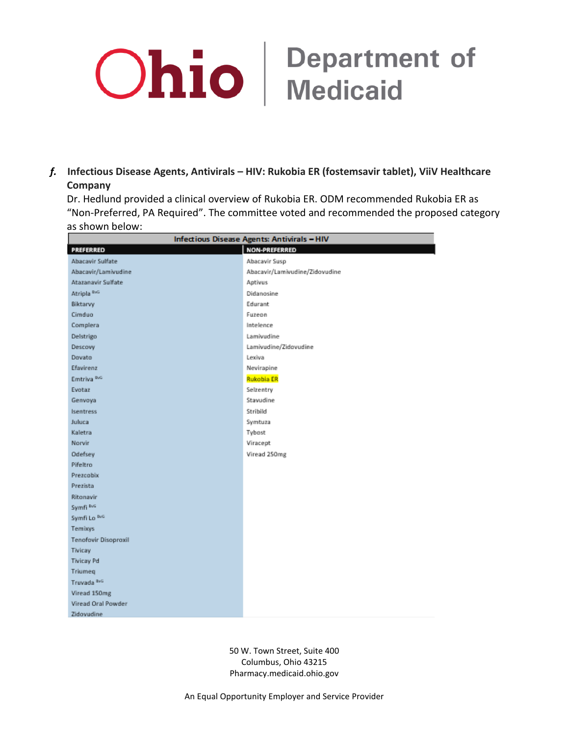### *f.* **Infectious Disease Agents, Antivirals – HIV: Rukobia ER (fostemsavir tablet), ViiV Healthcare Company**

Dr. Hedlund provided a clinical overview of Rukobia ER. ODM recommended Rukobia ER as "Non-Preferred, PA Required". The committee voted and recommended the proposed category as shown below:

| Infectious Disease Agents: Antivirals - HIV |                                |
|---------------------------------------------|--------------------------------|
| PREFERRED                                   | <b>NON-PREFERRED</b>           |
| Abacavir Sulfate                            | Abacavir Susp                  |
| Abacavir/Lamivudine                         | Abacavir/Lamivudine/Zidovudine |
| Atazanavir Sulfate                          | Aptivus                        |
| Atripla <sup>BvG</sup>                      | Didanosine                     |
| Biktarvy                                    | Edurant                        |
| Cimduo                                      | Fuzeon                         |
| Complera                                    | Intelence                      |
| Delstrigo                                   | Lamivudine                     |
| Descovy                                     | Lamivudine/Zidovudine          |
| Dovato                                      | Lexiva                         |
| Efavirenz                                   | Nevirapine                     |
| Emtriva <sup>nva</sup>                      | <b>Rukobia ER</b>              |
| Evotaz                                      | Selzentry                      |
| Genvoya                                     | Stavudine                      |
| Isentress                                   | Stribild                       |
| Juluca                                      | Symtuza                        |
| Kaletra                                     | Tybost                         |
| Norvir                                      | Viracept                       |
| Odefsey                                     | Viread 250mg                   |
| Pifeltro                                    |                                |
| Prezcobix                                   |                                |
| Prezista                                    |                                |
| Ritonavir                                   |                                |
| Symfi <sup>BvG</sup>                        |                                |
| Symfi Lo ING                                |                                |
| Temboys                                     |                                |
| Tenofovir Disoproxil                        |                                |
| Tivicay                                     |                                |
| <b>Tivicay Pd</b>                           |                                |
| Triumeg                                     |                                |
| Truvada ReG                                 |                                |
| Viread 150mg                                |                                |
| Viread Oral Powder                          |                                |
| Zidovudine                                  |                                |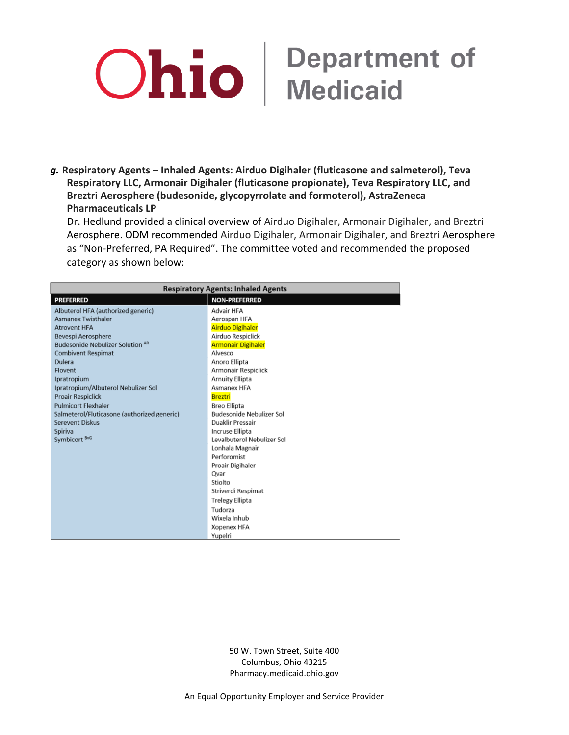*g.* **Respiratory Agents – Inhaled Agents: Airduo Digihaler (fluticasone and salmeterol), Teva Respiratory LLC, Armonair Digihaler (fluticasone propionate), Teva Respiratory LLC, and Breztri Aerosphere (budesonide, glycopyrrolate and formoterol), AstraZeneca Pharmaceuticals LP**

Dr. Hedlund provided a clinical overview of Airduo Digihaler, Armonair Digihaler, and Breztri Aerosphere. ODM recommended Airduo Digihaler, Armonair Digihaler, and Breztri Aerosphere as "Non-Preferred, PA Required". The committee voted and recommended the proposed category as shown below:

| <b>Respiratory Agents: Inhaled Agents</b>                                                                                                                                                                                                                                                                                                                                                          |                                                                                                                                                                                                                                                                                                     |
|----------------------------------------------------------------------------------------------------------------------------------------------------------------------------------------------------------------------------------------------------------------------------------------------------------------------------------------------------------------------------------------------------|-----------------------------------------------------------------------------------------------------------------------------------------------------------------------------------------------------------------------------------------------------------------------------------------------------|
| <b>PREFERRED</b>                                                                                                                                                                                                                                                                                                                                                                                   | <b>NON-PREFERRED</b>                                                                                                                                                                                                                                                                                |
| Albuterol HFA (authorized generic)<br><b>Asmanex Twisthaler</b><br><b>Atrovent HFA</b><br>Bevespi Aerosphere<br><b>Budesonide Nebulizer Solution AR</b><br><b>Combivent Respimat</b><br>Dulera<br>Flovent<br>Ipratropium<br>Ipratropium/Albuterol Nebulizer Sol<br><b>Proair Respiclick</b><br><b>Pulmicort Flexhaler</b><br>Salmeterol/Fluticasone (authorized generic)<br><b>Serevent Diskus</b> | Advair HFA<br>Aerospan HFA<br><b>Airduo Digihaler</b><br>Airduo Respiclick<br><b>Armonair Digihaler</b><br>Alvesco<br>Anoro Ellipta<br>Armonair Respiclick<br><b>Arnuity Ellipta</b><br>Asmanex HFA<br><b>Breztri</b><br><b>Breo Ellipta</b><br>Budesonide Nebulizer Sol<br><b>Duaklir Pressair</b> |
| Spiriva<br>Symbicort <sup>BvG</sup>                                                                                                                                                                                                                                                                                                                                                                | <b>Incruse Ellipta</b><br>Levalbuterol Nebulizer Sol<br>Lonhala Magnair<br>Perforomist<br>Proair Digihaler<br>Qvar<br>Stiolto<br>Striverdi Respimat<br><b>Trelegy Ellipta</b><br>Tudorza<br>Wixela Inhub<br><b>Xopenex HFA</b><br>Yupelri                                                           |